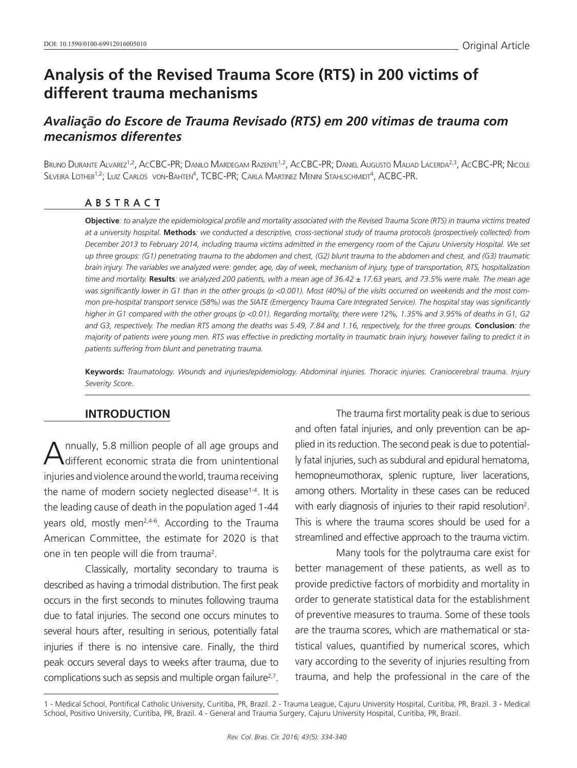# **Analysis of the Revised Trauma Score (RTS) in 200 victims of different trauma mechanisms**

# *Avaliação do Escore de Trauma Revisado (RTS) em 200 vítimas de trauma com mecanismos diferentes*

BRUNO DURANTE ALVAREZ<sup>1,2</sup>, ACCBC-PR; DANILO MARDEGAM RAZENTE<sup>1,2</sup>, ACCBC-PR; DANIEL AUGUSTO MAUAD LACERDA<sup>2,3</sup>, ACCBC-PR; NICOLE Silveira Lother<sup>1,2</sup>; Luiz Carlos von-Bahten<sup>4</sup>, TCBC-PR; Carla Martinez Menini Stahlschmidt<sup>4</sup>, ACBC-PR.

### ABSTRACT

**Objective***: to analyze the epidemiological profile and mortality associated with the Revised Trauma Score (RTS) in trauma victims treated at a university hospital.* **Methods***: we conducted a descriptive, cross-sectional study of trauma protocols (prospectively collected) from December 2013 to February 2014, including trauma victims admitted in the emergency room of the Cajuru University Hospital. We set up three groups: (G1) penetrating trauma to the abdomen and chest, (G2) blunt trauma to the abdomen and chest, and (G3) traumatic brain injury. The variables we analyzed were: gender, age, day of week, mechanism of injury, type of transportation, RTS, hospitalization time and mortality.* **Results***: we analyzed 200 patients, with a mean age of 36.42 ± 17.63 years, and 73.5% were male. The mean age was significantly lower in G1 than in the other groups (p <0.001). Most (40%) of the visits occurred on weekends and the most common pre-hospital transport service (58%) was the SIATE (Emergency Trauma Care Integrated Service). The hospital stay was significantly higher in G1 compared with the other groups (p <0.01). Regarding mortality, there were 12%, 1.35% and 3.95% of deaths in G1, G2*  and G3, respectively. The median RTS among the deaths was 5.49, 7.84 and 1.16, respectively, for the three groups. Conclusion: the *majority of patients were young men. RTS was effective in predicting mortality in traumatic brain injury, however failing to predict it in patients suffering from blunt and penetrating trauma.*

**Keywords:** *Traumatology. Wounds and injuries/epidemiology. Abdominal injuries. Thoracic injuries. Craniocerebral trauma. Injury Severity Score.*

### **INTRODUCTION**

Annually, 5.8 million people of all age groups and different economic strata die from unintentional injuries and violence around the world, trauma receiving the name of modern society neglected disease $1-4$ . It is the leading cause of death in the population aged 1-44 years old, mostly men<sup>2,4-6</sup>. According to the Trauma American Committee, the estimate for 2020 is that one in ten people will die from trauma<sup>2</sup>.

Classically, mortality secondary to trauma is described as having a trimodal distribution. The first peak occurs in the first seconds to minutes following trauma due to fatal injuries. The second one occurs minutes to several hours after, resulting in serious, potentially fatal injuries if there is no intensive care. Finally, the third peak occurs several days to weeks after trauma, due to complications such as sepsis and multiple organ failure<sup>2,7</sup>.

The trauma first mortality peak is due to serious and often fatal injuries, and only prevention can be applied in its reduction. The second peak is due to potentially fatal injuries, such as subdural and epidural hematoma, hemopneumothorax, splenic rupture, liver lacerations, among others. Mortality in these cases can be reduced with early diagnosis of injuries to their rapid resolution<sup>2</sup>. This is where the trauma scores should be used for a streamlined and effective approach to the trauma victim.

Many tools for the polytrauma care exist for better management of these patients, as well as to provide predictive factors of morbidity and mortality in order to generate statistical data for the establishment of preventive measures to trauma. Some of these tools are the trauma scores, which are mathematical or statistical values, quantified by numerical scores, which vary according to the severity of injuries resulting from trauma, and help the professional in the care of the

<sup>1 -</sup> Medical School, Pontifical Catholic University, Curitiba, PR, Brazil. 2 - Trauma League, Cajuru University Hospital, Curitiba, PR, Brazil. 3 - Medical School, Positivo University, Curitiba, PR, Brazil. 4 - General and Trauma Surgery, Cajuru University Hospital, Curitiba, PR, Brazil.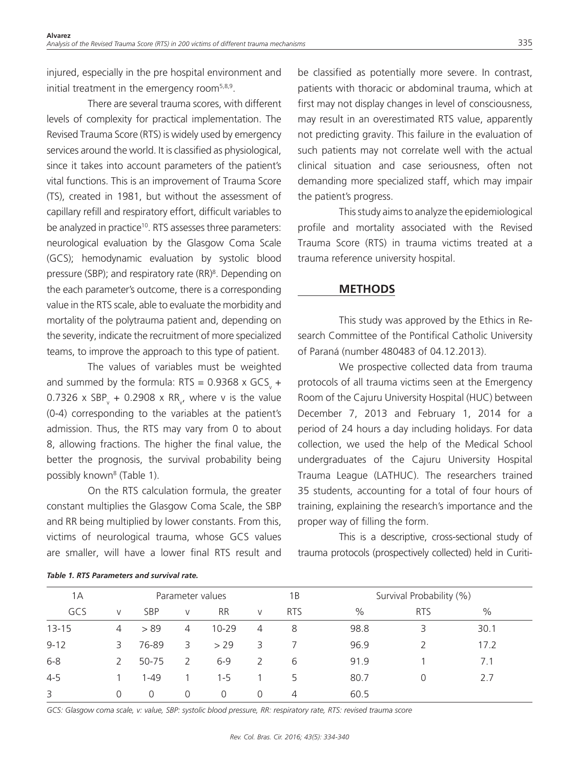injured, especially in the pre hospital environment and initial treatment in the emergency room<sup>5,8,9</sup>.

There are several trauma scores, with different levels of complexity for practical implementation. The Revised Trauma Score (RTS) is widely used by emergency services around the world. It is classified as physiological, since it takes into account parameters of the patient's vital functions. This is an improvement of Trauma Score (TS), created in 1981, but without the assessment of capillary refill and respiratory effort, difficult variables to be analyzed in practice<sup>10</sup>. RTS assesses three parameters: neurological evaluation by the Glasgow Coma Scale (GCS); hemodynamic evaluation by systolic blood pressure (SBP); and respiratory rate (RR)<sup>8</sup>. Depending on the each parameter's outcome, there is a corresponding value in the RTS scale, able to evaluate the morbidity and mortality of the polytrauma patient and, depending on the severity, indicate the recruitment of more specialized teams, to improve the approach to this type of patient.

The values of variables must be weighted and summed by the formula:  $RTS = 0.9368 \times GCS<sub>v</sub> +$ 0.7326 x SBP<sub>v</sub> + 0.2908 x RR<sub>v</sub>, where v is the value (0-4) corresponding to the variables at the patient's admission. Thus, the RTS may vary from 0 to about 8, allowing fractions. The higher the final value, the better the prognosis, the survival probability being possibly known<sup>8</sup> (Table 1).

On the RTS calculation formula, the greater constant multiplies the Glasgow Coma Scale, the SBP and RR being multiplied by lower constants. From this, victims of neurological trauma, whose GCS values are smaller, will have a lower final RTS result and

*Table 1. RTS Parameters and survival rate.*

be classified as potentially more severe. In contrast, patients with thoracic or abdominal trauma, which at first may not display changes in level of consciousness, may result in an overestimated RTS value, apparently not predicting gravity. This failure in the evaluation of such patients may not correlate well with the actual clinical situation and case seriousness, often not demanding more specialized staff, which may impair the patient's progress.

This study aims to analyze the epidemiological profile and mortality associated with the Revised Trauma Score (RTS) in trauma victims treated at a trauma reference university hospital.

### **METHODS**

This study was approved by the Ethics in Research Committee of the Pontifical Catholic University of Paraná (number 480483 of 04.12.2013).

We prospective collected data from trauma protocols of all trauma victims seen at the Emergency Room of the Cajuru University Hospital (HUC) between December 7, 2013 and February 1, 2014 for a period of 24 hours a day including holidays. For data collection, we used the help of the Medical School undergraduates of the Cajuru University Hospital Trauma League (LATHUC). The researchers trained 35 students, accounting for a total of four hours of training, explaining the research's importance and the proper way of filling the form.

This is a descriptive, cross-sectional study of trauma protocols (prospectively collected) held in Curiti-

| 1A        |    | Parameter values |                |           |               | 1В         |      | Survival Probability (%) |      |  |
|-----------|----|------------------|----------------|-----------|---------------|------------|------|--------------------------|------|--|
| GCS       | V  | <b>SBP</b>       | V              | <b>RR</b> | $\vee$        | <b>RTS</b> | $\%$ | <b>RTS</b>               | $\%$ |  |
| $13 - 15$ | 4  | > 89             | $\overline{4}$ | $10 - 29$ | 4             | 8          | 98.8 | 3                        | 30.1 |  |
| $9 - 12$  | 3. | 76-89            | 3              | > 29      | 3             |            | 96.9 |                          | 17.2 |  |
| $6 - 8$   |    | 50-75            | $\mathcal{L}$  | $6-9$     | $\mathcal{L}$ | 6          | 91.9 |                          | 7.1  |  |
| $4 - 5$   |    | $1 - 49$         |                | $1 - 5$   |               | 5          | 80.7 | U                        | 2.7  |  |
| 3         | 0  | 0                | 0              | 0         | 0             | 4          | 60.5 |                          |      |  |

*GCS: Glasgow coma scale, v: value, SBP: systolic blood pressure, RR: respiratory rate, RTS: revised trauma score*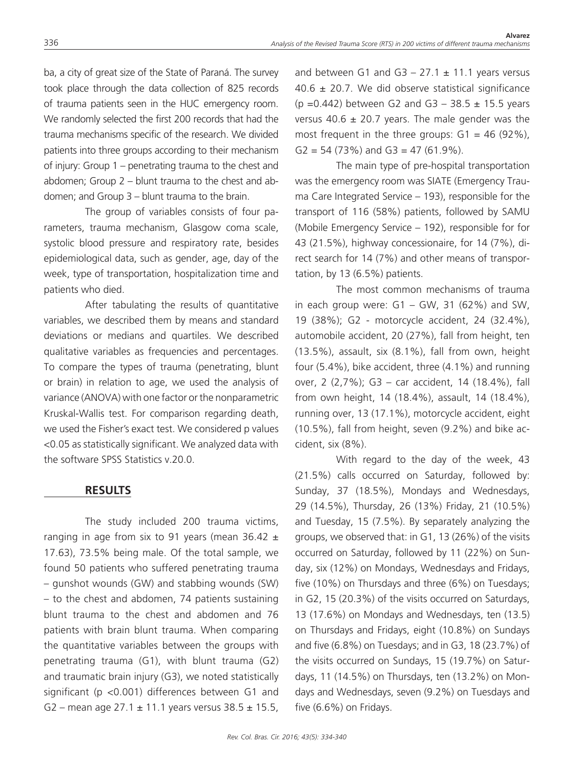ba, a city of great size of the State of Paraná. The survey took place through the data collection of 825 records of trauma patients seen in the HUC emergency room. We randomly selected the first 200 records that had the trauma mechanisms specific of the research. We divided patients into three groups according to their mechanism of injury: Group 1 – penetrating trauma to the chest and abdomen; Group 2 – blunt trauma to the chest and abdomen; and Group 3 – blunt trauma to the brain.

The group of variables consists of four parameters, trauma mechanism, Glasgow coma scale, systolic blood pressure and respiratory rate, besides epidemiological data, such as gender, age, day of the week, type of transportation, hospitalization time and patients who died.

After tabulating the results of quantitative variables, we described them by means and standard deviations or medians and quartiles. We described qualitative variables as frequencies and percentages. To compare the types of trauma (penetrating, blunt or brain) in relation to age, we used the analysis of variance (ANOVA) with one factor or the nonparametric Kruskal-Wallis test. For comparison regarding death, we used the Fisher's exact test. We considered p values <0.05 as statistically significant. We analyzed data with the software SPSS Statistics v.20.0.

### **RESULTS**

The study included 200 trauma victims, ranging in age from six to 91 years (mean 36.42  $\pm$ 17.63), 73.5% being male. Of the total sample, we found 50 patients who suffered penetrating trauma – gunshot wounds (GW) and stabbing wounds (SW) – to the chest and abdomen, 74 patients sustaining blunt trauma to the chest and abdomen and 76 patients with brain blunt trauma. When comparing the quantitative variables between the groups with penetrating trauma (G1), with blunt trauma (G2) and traumatic brain injury (G3), we noted statistically significant (p <0.001) differences between G1 and G2 – mean age  $27.1 \pm 11.1$  years versus  $38.5 \pm 15.5$ ,

and between G1 and G3  $-$  27.1  $\pm$  11.1 years versus 40.6  $\pm$  20.7. We did observe statistical significance (p = 0.442) between G2 and G3 – 38.5  $\pm$  15.5 years versus 40.6  $\pm$  20.7 years. The male gender was the most frequent in the three groups:  $G1 = 46$  (92%),  $G2 = 54 (73\%)$  and  $G3 = 47 (61.9\%).$ 

The main type of pre-hospital transportation was the emergency room was SIATE (Emergency Trauma Care Integrated Service – 193), responsible for the transport of 116 (58%) patients, followed by SAMU (Mobile Emergency Service – 192), responsible for for 43 (21.5%), highway concessionaire, for 14 (7%), direct search for 14 (7%) and other means of transportation, by 13 (6.5%) patients.

The most common mechanisms of trauma in each group were:  $G1 - GW$ , 31 (62%) and SW, 19 (38%); G2 - motorcycle accident, 24 (32.4%), automobile accident, 20 (27%), fall from height, ten (13.5%), assault, six (8.1%), fall from own, height four (5.4%), bike accident, three (4.1%) and running over, 2 (2,7%); G3 – car accident, 14 (18.4%), fall from own height, 14 (18.4%), assault, 14 (18.4%), running over, 13 (17.1%), motorcycle accident, eight (10.5%), fall from height, seven (9.2%) and bike accident, six (8%).

With regard to the day of the week, 43 (21.5%) calls occurred on Saturday, followed by: Sunday, 37 (18.5%), Mondays and Wednesdays, 29 (14.5%), Thursday, 26 (13%) Friday, 21 (10.5%) and Tuesday, 15 (7.5%). By separately analyzing the groups, we observed that: in G1, 13 (26%) of the visits occurred on Saturday, followed by 11 (22%) on Sunday, six (12%) on Mondays, Wednesdays and Fridays, five (10%) on Thursdays and three (6%) on Tuesdays; in G2, 15 (20.3%) of the visits occurred on Saturdays, 13 (17.6%) on Mondays and Wednesdays, ten (13.5) on Thursdays and Fridays, eight (10.8%) on Sundays and five (6.8%) on Tuesdays; and in G3, 18 (23.7%) of the visits occurred on Sundays, 15 (19.7%) on Saturdays, 11 (14.5%) on Thursdays, ten (13.2%) on Mondays and Wednesdays, seven (9.2%) on Tuesdays and five (6.6%) on Fridays.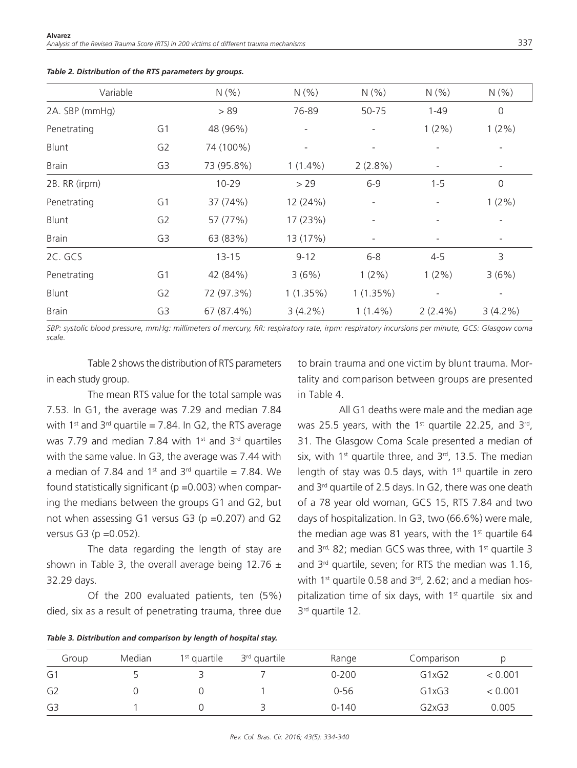| Variable<br>2A. SBP (mmHg) |                | N(% )      | N(% )       | N(% )<br>50-75           | N(% )      | N(% )<br>0  |
|----------------------------|----------------|------------|-------------|--------------------------|------------|-------------|
|                            |                | > 89       | 76-89       |                          | $1 - 49$   |             |
| Penetrating                | G1             | 48 (96%)   |             |                          | $1(2\%)$   | $1(2\%)$    |
| Blunt                      | G <sub>2</sub> | 74 (100%)  |             |                          |            |             |
| <b>Brain</b>               | G3             | 73 (95.8%) | $1(1.4\%)$  | $2(2.8\%)$               |            |             |
| 2B. RR (irpm)              |                | $10 - 29$  | > 29        | $6 - 9$                  | $1 - 5$    | $\mathbf 0$ |
| Penetrating                | G <sub>1</sub> | 37 (74%)   | 12 (24%)    | $\overline{\phantom{a}}$ |            | $1(2\%)$    |
| Blunt                      | G <sub>2</sub> | 57 (77%)   | 17 (23%)    |                          |            |             |
| <b>Brain</b>               | G3             | 63 (83%)   | 13 (17%)    |                          |            |             |
| 2C. GCS                    |                | $13 - 15$  | $9 - 12$    | $6 - 8$                  | $4 - 5$    | 3           |
| Penetrating                | G <sub>1</sub> | 42 (84%)   | 3(6%)       | $1(2\%)$                 | $1(2\%)$   | 3(6%)       |
| Blunt                      | G <sub>2</sub> | 72 (97.3%) | $1(1.35\%)$ | 1(1.35%)                 |            |             |
| <b>Brain</b>               | G3             | 67 (87.4%) | $3(4.2\%)$  | $1(1.4\%)$               | $2(2.4\%)$ | $3(4.2\%)$  |

#### *Table 2. Distribution of the RTS parameters by groups.*

*SBP: systolic blood pressure, mmHg: millimeters of mercury, RR: respiratory rate, irpm: respiratory incursions per minute, GCS: Glasgow coma scale.*

Table 2 shows the distribution of RTS parameters in each study group.

The mean RTS value for the total sample was 7.53. In G1, the average was 7.29 and median 7.84 with 1<sup>st</sup> and 3<sup>rd</sup> quartile = 7.84. In G2, the RTS average was 7.79 and median 7.84 with 1<sup>st</sup> and 3<sup>rd</sup> quartiles with the same value. In G3, the average was 7.44 with a median of 7.84 and 1<sup>st</sup> and 3<sup>rd</sup> quartile = 7.84. We found statistically significant ( $p = 0.003$ ) when comparing the medians between the groups G1 and G2, but not when assessing G1 versus G3 ( $p = 0.207$ ) and G2 versus G3 (p =0.052).

The data regarding the length of stay are shown in Table 3, the overall average being 12.76  $\pm$ 32.29 days.

Of the 200 evaluated patients, ten (5%) died, six as a result of penetrating trauma, three due

to brain trauma and one victim by blunt trauma. Mortality and comparison between groups are presented in Table 4.

All G1 deaths were male and the median age was 25.5 years, with the 1<sup>st</sup> quartile 22.25, and  $3^{rd}$ , 31. The Glasgow Coma Scale presented a median of six, with  $1<sup>st</sup>$  quartile three, and  $3<sup>rd</sup>$ , 13.5. The median length of stay was 0.5 days, with  $1<sup>st</sup>$  quartile in zero and 3rd quartile of 2.5 days. In G2, there was one death of a 78 year old woman, GCS 15, RTS 7.84 and two days of hospitalization. In G3, two (66.6%) were male, the median age was 81 years, with the  $1<sup>st</sup>$  quartile 64 and  $3^{rd}$ , 82; median GCS was three, with  $1^{st}$  quartile 3 and  $3^{rd}$  quartile, seven; for RTS the median was 1.16, with 1<sup>st</sup> quartile 0.58 and  $3<sup>rd</sup>$ , 2.62; and a median hospitalization time of six days, with  $1<sup>st</sup>$  quartile six and 3rd quartile 12.

*Table 3. Distribution and comparison by length of hospital stay.*

| Group          | Median | $1st$ quartile | 3 <sup>rd</sup> quartile | Range     | Comparison                     |         |
|----------------|--------|----------------|--------------------------|-----------|--------------------------------|---------|
| G1             |        |                |                          | $0 - 200$ | G1xG2                          | < 0.001 |
| G <sub>2</sub> |        |                |                          | $0 - 56$  | G1xG3                          | < 0.001 |
| G3             |        |                |                          | $0 - 140$ | G <sub>2</sub> xG <sub>3</sub> | 0.005   |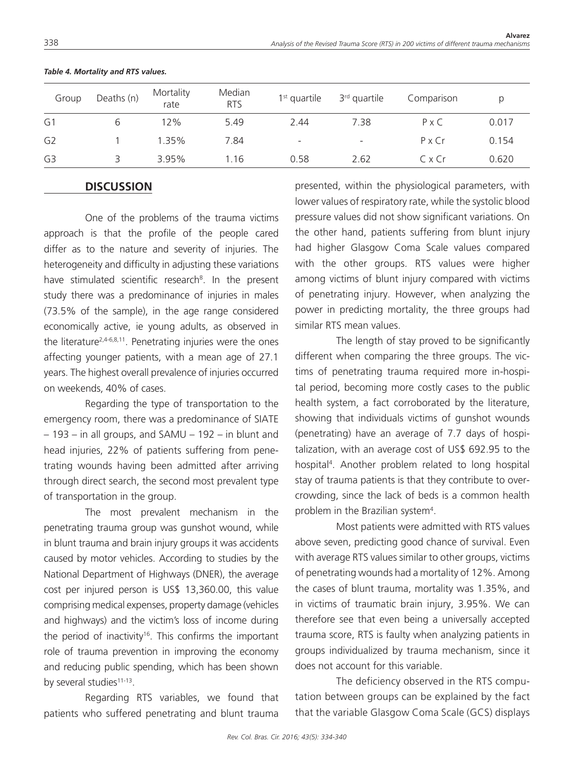| Group | Deaths (n) | Mortality<br>rate | Median<br><b>RTS</b> | $1st$ quartile           | 3 <sup>rd</sup> quartile | Comparison    | Ŋ     |
|-------|------------|-------------------|----------------------|--------------------------|--------------------------|---------------|-------|
| G1    | b          | 12%               | 5.49                 | 2.44                     | 7.38                     | $P \times C$  | 0.017 |
| G2    |            | 1.35%             | 7.84                 | $\overline{\phantom{a}}$ | $\overline{\phantom{a}}$ | $P \times Cr$ | 0.154 |
| G3    |            | 3.95%             | 1.16                 | 0.58                     | 2.62                     | CxCr          | 0.620 |

#### *Table 4. Mortality and RTS values.*

### **DISCUSSION**

One of the problems of the trauma victims approach is that the profile of the people cared differ as to the nature and severity of injuries. The heterogeneity and difficulty in adjusting these variations have stimulated scientific research<sup>8</sup>. In the present study there was a predominance of injuries in males (73.5% of the sample), in the age range considered economically active, ie young adults, as observed in the literature2,4-6,8,11. Penetrating injuries were the ones affecting younger patients, with a mean age of 27.1 years. The highest overall prevalence of injuries occurred on weekends, 40% of cases.

Regarding the type of transportation to the emergency room, there was a predominance of SIATE – 193 – in all groups, and SAMU – 192 – in blunt and head injuries, 22% of patients suffering from penetrating wounds having been admitted after arriving through direct search, the second most prevalent type of transportation in the group.

The most prevalent mechanism in the penetrating trauma group was gunshot wound, while in blunt trauma and brain injury groups it was accidents caused by motor vehicles. According to studies by the National Department of Highways (DNER), the average cost per injured person is US\$ 13,360.00, this value comprising medical expenses, property damage (vehicles and highways) and the victim's loss of income during the period of inactivity<sup>16</sup>. This confirms the important role of trauma prevention in improving the economy and reducing public spending, which has been shown by several studies $11-13$ .

Regarding RTS variables, we found that patients who suffered penetrating and blunt trauma

presented, within the physiological parameters, with lower values of respiratory rate, while the systolic blood pressure values did not show significant variations. On the other hand, patients suffering from blunt injury had higher Glasgow Coma Scale values compared with the other groups. RTS values were higher among victims of blunt injury compared with victims of penetrating injury. However, when analyzing the power in predicting mortality, the three groups had similar RTS mean values.

The length of stay proved to be significantly different when comparing the three groups. The victims of penetrating trauma required more in-hospital period, becoming more costly cases to the public health system, a fact corroborated by the literature, showing that individuals victims of gunshot wounds (penetrating) have an average of 7.7 days of hospitalization, with an average cost of US\$ 692.95 to the hospital<sup>4</sup>. Another problem related to long hospital stay of trauma patients is that they contribute to overcrowding, since the lack of beds is a common health problem in the Brazilian system<sup>4</sup>.

Most patients were admitted with RTS values above seven, predicting good chance of survival. Even with average RTS values similar to other groups, victims of penetrating wounds had a mortality of 12%. Among the cases of blunt trauma, mortality was 1.35%, and in victims of traumatic brain injury, 3.95%. We can therefore see that even being a universally accepted trauma score, RTS is faulty when analyzing patients in groups individualized by trauma mechanism, since it does not account for this variable.

The deficiency observed in the RTS computation between groups can be explained by the fact that the variable Glasgow Coma Scale (GCS) displays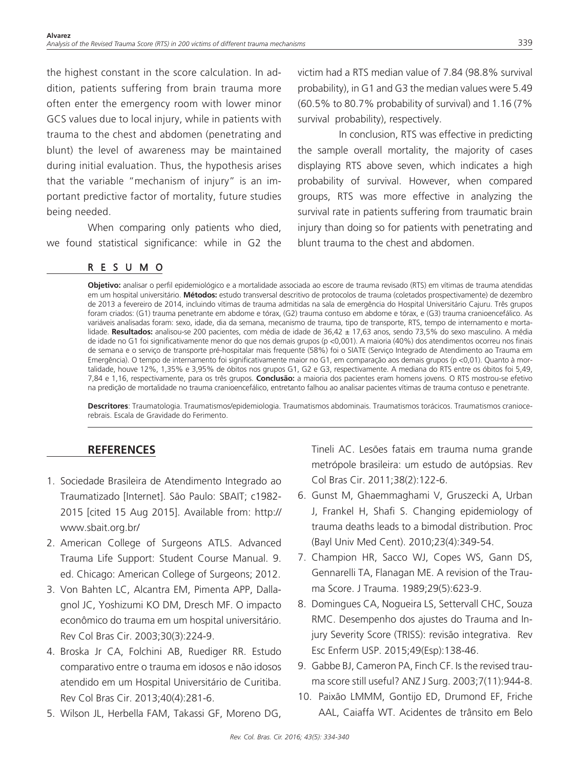the highest constant in the score calculation. In addition, patients suffering from brain trauma more often enter the emergency room with lower minor GCS values due to local injury, while in patients with trauma to the chest and abdomen (penetrating and blunt) the level of awareness may be maintained during initial evaluation. Thus, the hypothesis arises that the variable "mechanism of injury" is an important predictive factor of mortality, future studies being needed.

When comparing only patients who died, we found statistical significance: while in G2 the

## RESUMO

victim had a RTS median value of 7.84 (98.8% survival probability), in G1 and G3 the median values were 5.49 (60.5% to 80.7% probability of survival) and 1.16 (7% survival probability), respectively.

In conclusion, RTS was effective in predicting the sample overall mortality, the majority of cases displaying RTS above seven, which indicates a high probability of survival. However, when compared groups, RTS was more effective in analyzing the survival rate in patients suffering from traumatic brain injury than doing so for patients with penetrating and blunt trauma to the chest and abdomen.

**Objetivo:** analisar o perfil epidemiológico e a mortalidade associada ao escore de trauma revisado (RTS) em vítimas de trauma atendidas em um hospital universitário. **Métodos:** estudo transversal descritivo de protocolos de trauma (coletados prospectivamente) de dezembro de 2013 a fevereiro de 2014, incluindo vítimas de trauma admitidas na sala de emergência do Hospital Universitário Cajuru. Três grupos foram criados: (G1) trauma penetrante em abdome e tórax, (G2) trauma contuso em abdome e tórax, e (G3) trauma cranioencefálico. As variáveis analisadas foram: sexo, idade, dia da semana, mecanismo de trauma, tipo de transporte, RTS, tempo de internamento e mortalidade. **Resultados:** analisou-se 200 pacientes, com média de idade de 36,42 ± 17,63 anos, sendo 73,5% do sexo masculino. A média de idade no G1 foi significativamente menor do que nos demais grupos (p <0,001). A maioria (40%) dos atendimentos ocorreu nos finais de semana e o serviço de transporte pré-hospitalar mais frequente (58%) foi o SIATE (Serviço Integrado de Atendimento ao Trauma em Emergência). O tempo de internamento foi significativamente maior no G1, em comparação aos demais grupos (p <0,01). Quanto à mortalidade, houve 12%, 1,35% e 3,95% de óbitos nos grupos G1, G2 e G3, respectivamente. A mediana do RTS entre os óbitos foi 5,49, 7,84 e 1,16, respectivamente, para os três grupos. **Conclusão:** a maioria dos pacientes eram homens jovens. O RTS mostrou-se efetivo na predição de mortalidade no trauma cranioencefálico, entretanto falhou ao analisar pacientes vítimas de trauma contuso e penetrante.

**Descritores**: Traumatologia. Traumatismos/epidemiologia. Traumatismos abdominais. Traumatismos torácicos. Traumatismos craniocerebrais. Escala de Gravidade do Ferimento.

# **REFERENCES**

- 1. Sociedade Brasileira de Atendimento Integrado ao Traumatizado [Internet]. São Paulo: SBAIT; c1982- 2015 [cited 15 Aug 2015]. Available from: http:// www.sbait.org.br/
- 2. American College of Surgeons ATLS. Advanced Trauma Life Support: Student Course Manual. 9. ed. Chicago: American College of Surgeons; 2012.
- 3. Von Bahten LC, Alcantra EM, Pimenta APP, Dallagnol JC, Yoshizumi KO DM, Dresch MF. O impacto econômico do trauma em um hospital universitário. Rev Col Bras Cir. 2003;30(3):224-9.
- 4. Broska Jr CA, Folchini AB, Ruediger RR. Estudo comparativo entre o trauma em idosos e não idosos atendido em um Hospital Universitário de Curitiba. Rev Col Bras Cir. 2013;40(4):281-6.
- 5. Wilson JL, Herbella FAM, Takassi GF, Moreno DG,

Tineli AC. Lesões fatais em trauma numa grande metrópole brasileira: um estudo de autópsias. Rev Col Bras Cir. 2011;38(2):122-6.

- 6. Gunst M, Ghaemmaghami V, Gruszecki A, Urban J, Frankel H, Shafi S. Changing epidemiology of trauma deaths leads to a bimodal distribution. Proc (Bayl Univ Med Cent). 2010;23(4):349-54.
- 7. Champion HR, Sacco WJ, Copes WS, Gann DS, Gennarelli TA, Flanagan ME. A revision of the Trauma Score. J Trauma. 1989;29(5):623-9.
- 8. Domingues CA, Nogueira LS, Settervall CHC, Souza RMC. Desempenho dos ajustes do Trauma and Injury Severity Score (TRISS): revisão integrativa. Rev Esc Enferm USP. 2015;49(Esp):138-46.
- 9. Gabbe BJ, Cameron PA, Finch CF. Is the revised trauma score still useful? ANZ J Surg. 2003;7(11):944-8.
- 10. Paixão LMMM, Gontijo ED, Drumond EF, Friche AAL, Caiaffa WT. Acidentes de trânsito em Belo